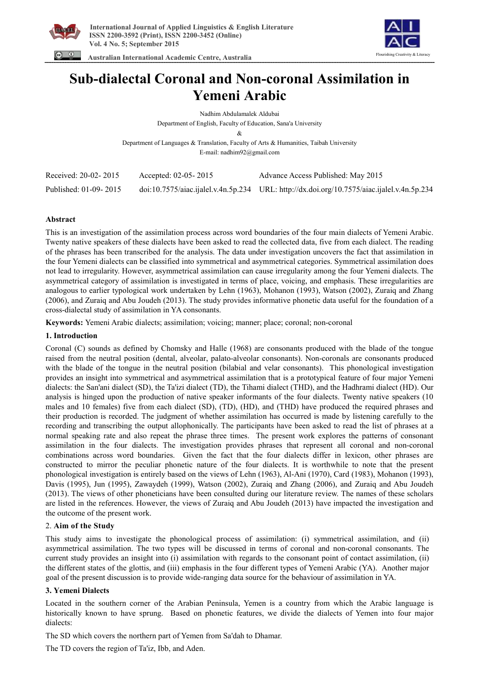



 **Australian International Academic Centre, Australia** 

# **Sub-dialectal Coronal and Non-coronal Assimilation in Yemeni Arabic**

Nadhim Abdulamalek Aldubai

Department of English, Faculty of Education, Sana'a University

&

Department of Languages & Translation, Faculty of Arts & Humanities, Taibah University E-mail: nadhim92@gmail.com

| Received: 20-02-2015  | Accepted: 02-05-2015 | Advance Access Published: May 2015                                                         |
|-----------------------|----------------------|--------------------------------------------------------------------------------------------|
| Published: 01-09-2015 |                      | doi:10.7575/aiac.ijalel.v.4n.5p.234 URL: http://dx.doi.org/10.7575/aiac.ijalel.v.4n.5p.234 |

# **Abstract**

This is an investigation of the assimilation process across word boundaries of the four main dialects of Yemeni Arabic. Twenty native speakers of these dialects have been asked to read the collected data, five from each dialect. The reading of the phrases has been transcribed for the analysis. The data under investigation uncovers the fact that assimilation in the four Yemeni dialects can be classified into symmetrical and asymmetrical categories. Symmetrical assimilation does not lead to irregularity. However, asymmetrical assimilation can cause irregularity among the four Yemeni dialects. The asymmetrical category of assimilation is investigated in terms of place, voicing, and emphasis. These irregularities are analogous to earlier typological work undertaken by Lehn (1963), Mohanon (1993), Watson (2002), Zuraiq and Zhang (2006), and Zuraiq and Abu Joudeh (2013). The study provides informative phonetic data useful for the foundation of a cross-dialectal study of assimilation in YA consonants.

**Keywords:** Yemeni Arabic dialects; assimilation; voicing; manner; place; coronal; non-coronal

# **1. Introduction**

Coronal (C) sounds as defined by Chomsky and Halle (1968) are consonants produced with the blade of the tongue raised from the neutral position (dental, alveolar, palato-alveolar consonants). Non-coronals are consonants produced with the blade of the tongue in the neutral position (bilabial and velar consonants). This phonological investigation provides an insight into symmetrical and asymmetrical assimilation that is a prototypical feature of four major Yemeni dialects: the San'ani dialect (SD), the Ta'izi dialect (TD), the Tihami dialect (THD), and the Hadhrami dialect (HD). Our analysis is hinged upon the production of native speaker informants of the four dialects. Twenty native speakers (10 males and 10 females) five from each dialect (SD), (TD), (HD), and (THD) have produced the required phrases and their production is recorded. The judgment of whether assimilation has occurred is made by listening carefully to the recording and transcribing the output allophonically. The participants have been asked to read the list of phrases at a normal speaking rate and also repeat the phrase three times. The present work explores the patterns of consonant assimilation in the four dialects. The investigation provides phrases that represent all coronal and non-coronal combinations across word boundaries. Given the fact that the four dialects differ in lexicon, other phrases are constructed to mirror the peculiar phonetic nature of the four dialects. It is worthwhile to note that the present phonological investigation is entirely based on the views of Lehn (1963), Al-Ani (1970), Card (1983), Mohanon (1993), Davis (1995), Jun (1995), Zawaydeh (1999), Watson (2002), Zuraiq and Zhang (2006), and Zuraiq and Abu Joudeh (2013). The views of other phoneticians have been consulted during our literature review. The names of these scholars are listed in the references. However, the views of Zuraiq and Abu Joudeh (2013) have impacted the investigation and the outcome of the present work.

# 2. **Aim of the Study**

This study aims to investigate the phonological process of assimilation: (i) symmetrical assimilation, and (ii) asymmetrical assimilation. The two types will be discussed in terms of coronal and non-coronal consonants. The current study provides an insight into (i) assimilation with regards to the consonant point of contact assimilation, (ii) the different states of the glottis, and (iii) emphasis in the four different types of Yemeni Arabic (YA). Another major goal of the present discussion is to provide wide-ranging data source for the behaviour of assimilation in YA.

# **3. Yemeni Dialects**

Located in the southern corner of the Arabian Peninsula, Yemen is a country from which the Arabic language is historically known to have sprung. Based on phonetic features, we divide the dialects of Yemen into four major dialects:

The SD which covers the northern part of Yemen from Sa'dah to Dhamar.

The TD covers the region of Ta'iz, Ibb, and Aden.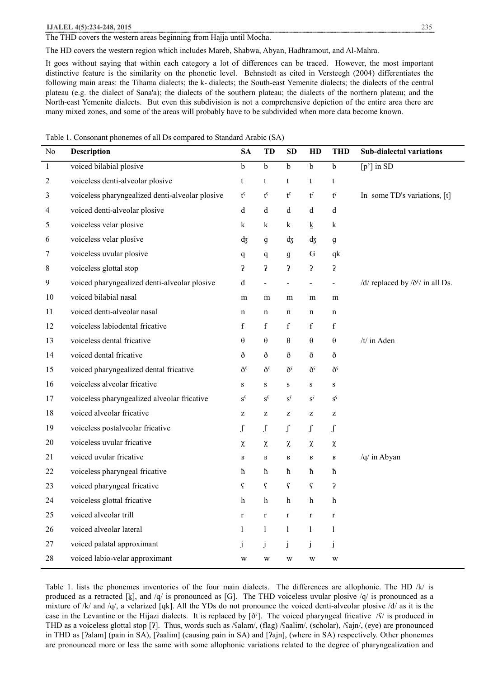## The THD covers the western areas beginning from Hajja until Mocha.

The HD covers the western region which includes Mareb, Shabwa, Abyan, Hadhramout, and Al-Mahra.

It goes without saying that within each category a lot of differences can be traced. However, the most important distinctive feature is the similarity on the phonetic level. Behnstedt as cited in Versteegh (2004) differentiates the following main areas: the Tihama dialects; the k- dialects; the South-east Yemenite dialects; the dialects of the central plateau (e.g. the dialect of Sana'a); the dialects of the southern plateau; the dialects of the northern plateau; and the North-east Yemenite dialects. But even this subdivision is not a comprehensive depiction of the entire area there are many mixed zones, and some of the areas will probably have to be subdivided when more data become known.

| $\rm No$     | <b>Description</b>                              | <b>SA</b>                  | <b>TD</b>                                             | ${\bf SD}$                                            | HD                         | <b>THD</b>                 | <b>Sub-dialectal variations</b>                      |
|--------------|-------------------------------------------------|----------------------------|-------------------------------------------------------|-------------------------------------------------------|----------------------------|----------------------------|------------------------------------------------------|
| $\mathbf{1}$ | voiced bilabial plosive                         | $\mathbf b$                | $\rm b$                                               | $\mathbf b$                                           | $\rm b$                    | $\mathbf b$                | $[p']$ in SD                                         |
| 2            | voiceless denti-alveolar plosive                | t                          | $\mathbf t$                                           | t                                                     | t                          | t                          |                                                      |
| 3            | voiceless pharyngealized denti-alveolar plosive | $\mathfrak{t}^{\varsigma}$ | $\mathfrak{t}^{\varsigma}$                            | $\mathfrak{t}^{\varsigma}$                            | $\mathfrak{t}^{\varsigma}$ | $\mathfrak{t}^{\varsigma}$ | In some TD's variations, [t]                         |
| 4            | voiced denti-alveolar plosive                   | d                          | d                                                     | d                                                     | $\mathbf d$                | $\rm d$                    |                                                      |
| 5            | voiceless velar plosive                         | $\mathbf k$                | $\mathbf{k}$                                          | k                                                     | $\underline{k}$            | $\mathbf k$                |                                                      |
| 6            | voiceless velar plosive                         | d3                         | $\boldsymbol{g}$                                      | фz                                                    | <b>dz</b>                  | $\mathfrak g$              |                                                      |
| 7            | voiceless uvular plosive                        | $\mathbf q$                | $\mathbf q$                                           | $\boldsymbol{g}$                                      | ${\bf G}$                  | qk                         |                                                      |
| 8            | voiceless glottal stop                          | λ                          | 5                                                     | $\mathbf{c}$                                          | $\mathbf{c}$               | 5                          |                                                      |
| 9            | voiced pharyngealized denti-alveolar plosive    | đ                          | $\overline{\phantom{0}}$                              | $\overline{\phantom{0}}$                              | $\blacksquare$             | $\overline{a}$             | $\frac{d}{dx}$ replaced by $\frac{d}{dx}$ in all Ds. |
| 10           | voiced bilabial nasal                           | m                          | m                                                     | m                                                     | m                          | m                          |                                                      |
| 11           | voiced denti-alveolar nasal                     | n                          | n                                                     | n                                                     | n                          | n                          |                                                      |
| 12           | voiceless labiodental fricative                 | $\mathbf f$                | $\mathbf f$                                           | $\mathbf f$                                           | $\mathbf f$                | $\mathbf f$                |                                                      |
| 13           | voiceless dental fricative                      | θ                          | $\boldsymbol{\theta}$                                 | $\boldsymbol{\theta}$                                 | $\boldsymbol{\theta}$      | $\boldsymbol{\theta}$      | / $t/$ in Aden                                       |
| 14           | voiced dental fricative                         | ð                          | ð                                                     | ð                                                     | $\eth$                     | ð                          |                                                      |
| 15           | voiced pharyngealized dental fricative          | $\eth^{\varsigma}$         | $\eth^s$                                              | $\delta^{\varsigma}$                                  | $\eth^{\varsigma}$         | $\delta^{\varsigma}$       |                                                      |
| $16\,$       | voiceless alveolar fricative                    | S                          | ${\bf S}$                                             | $\bf S$                                               | ${\bf S}$                  | $\mathbf S$                |                                                      |
| 17           | voiceless pharyngealized alveolar fricative     | $S^{\varsigma}$            | $\textbf{s}^{\varsigma}$                              | $\textbf{s}^{\varsigma}$                              | $\textbf{s}^{\varsigma}$   | $\mathbf{s}^{\varsigma}$   |                                                      |
| 18           | voiced alveolar fricative                       | Z                          | $\mathbf{Z}% ^{T}=\mathbf{Z}^{T}\times\mathbf{Z}^{T}$ | $\mathbf{Z}% ^{T}=\mathbf{Z}^{T}\times\mathbf{Z}^{T}$ | z                          | Z                          |                                                      |
| 19           | voiceless postalveolar fricative                | $\int$                     | $\int$                                                | $\int$                                                | $\int$                     | $\int$                     |                                                      |
| 20           | voiceless uvular fricative                      | χ                          | $\chi$                                                | $\chi$                                                | $\chi$                     | $\chi$                     |                                                      |
| 21           | voiced uvular fricative                         | R                          | R                                                     | R                                                     | R                          | $\mathbf R$                | /q/ in Abyan                                         |
| 22           | voiceless pharyngeal fricative                  | ħ                          | ħ                                                     | ħ                                                     | ħ                          | ħ                          |                                                      |
| 23           | voiced pharyngeal fricative                     | $\varsigma$                | $\varsigma$                                           | $\varsigma$                                           | $\varsigma$                | 5                          |                                                      |
| 24           | voiceless glottal fricative                     | h                          | h                                                     | h                                                     | h                          | $\mathbf h$                |                                                      |
| 25           | voiced alveolar trill                           | $\mathbf r$                | $\mathbf r$                                           | $\mathbf{r}$                                          | $\mathbf r$                | $\mathbf r$                |                                                      |
| 26           | voiced alveolar lateral                         | $\mathbf{l}$               | $\mathbf{l}$                                          | $\mathbf{1}$                                          | $\mathbf{1}$               | $\mathbf{l}$               |                                                      |
| 27           | voiced palatal approximant                      | j                          | j                                                     | $\mathbf{j}$                                          | j                          | j                          |                                                      |
| 28           | voiced labio-velar approximant                  | W                          | W                                                     | W                                                     | W                          | W                          |                                                      |

Table 1. Consonant phonemes of all Ds compared to Standard Arabic (SA)

Table 1. lists the phonemes inventories of the four main dialects. The differences are allophonic. The HD /k/ is produced as a retracted [k], and /q/ is pronounced as [G]. The THD voiceless uvular plosive /q/ is pronounced as a mixture of /k/ and /q/, a velarized [qk]. All the YDs do not pronounce the voiced denti-alveolar plosive / $d$ / as it is the case in the Levantine or the Hijazi dialects. It is replaced by  $\delta$ <sup>8</sup>. The voiced pharyngeal fricative  $\delta$ *S*/ is produced in THD as a voiceless glottal stop [ʔ]. Thus, words such as /ʕalam/, (flag) /ʕaalim/, (scholar), /ʕajn/, (eye) are pronounced in THD as [ʔalam] (pain in SA), [ʔaalim] (causing pain in SA) and [ʔajn], (where in SA) respectively. Other phonemes are pronounced more or less the same with some allophonic variations related to the degree of pharyngealization and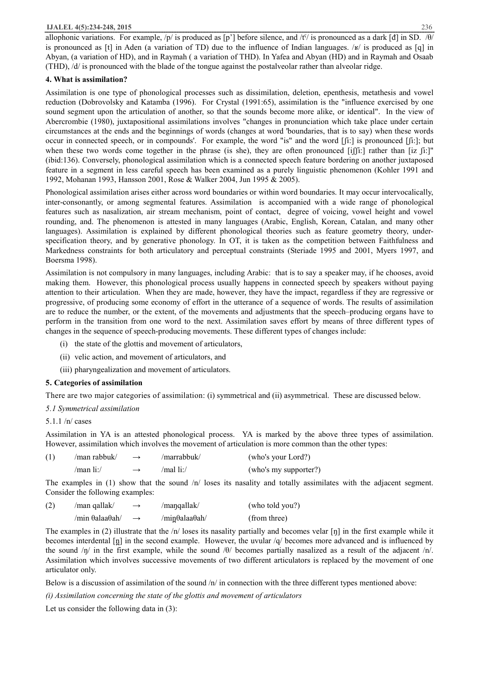allophonic variations. For example,  $/p/$  is produced as [p'] before silence, and /t<sup>°</sup>/ is pronounced as a dark [d] in SD. / $\theta$ / is pronounced as  $[t]$  in Aden (a variation of TD) due to the influence of Indian languages.  $/k$  is produced as  $[q]$  in Abyan, (a variation of HD), and in Raymah ( a variation of THD). In Yafea and Abyan (HD) and in Raymah and Osaab (THD), /d/ is pronounced with the blade of the tongue against the postalveolar rather than alveolar ridge.

# **4. What is assimilation?**

Assimilation is one type of phonological processes such as dissimilation, deletion, epenthesis, metathesis and vowel reduction (Dobrovolsky and Katamba (1996). For Crystal (1991:65), assimilation is the "influence exercised by one sound segment upon the articulation of another, so that the sounds become more alike, or identical". In the view of Abercrombie (1980), juxtapositional assimilations involves "changes in pronunciation which take place under certain circumstances at the ends and the beginnings of words (changes at word 'boundaries, that is to say) when these words occur in connected speech, or in compounds'. For example, the word "is" and the word [ʃi:] is pronounced [ʃi:]; but when these two words come together in the phrase (is she), they are often pronounced [if [i:] rather than [iz [i:]" (ibid:136). Conversely, phonological assimilation which is a connected speech feature bordering on another juxtaposed feature in a segment in less careful speech has been examined as a purely linguistic phenomenon (Kohler 1991 and 1992, Mohanan 1993, Hansson 2001, Rose & Walker 2004, Jun 1995 & 2005).

Phonological assimilation arises either across word boundaries or within word boundaries. It may occur intervocalically, inter-consonantly, or among segmental features. Assimilation is accompanied with a wide range of phonological features such as nasalization, air stream mechanism, point of contact, degree of voicing, vowel height and vowel rounding, and. The phenomenon is attested in many languages (Arabic, English, Korean, Catalan, and many other languages). Assimilation is explained by different phonological theories such as feature geometry theory, underspecification theory, and by generative phonology. In OT, it is taken as the competition between Faithfulness and Markedness constraints for both articulatory and perceptual constraints (Steriade 1995 and 2001, Myers 1997, and Boersma 1998).

Assimilation is not compulsory in many languages, including Arabic: that is to say a speaker may, if he chooses, avoid making them. However, this phonological process usually happens in connected speech by speakers without paying attention to their articulation. When they are made, however, they have the impact, regardless if they are regressive or progressive, of producing some economy of effort in the utterance of a sequence of words. The results of assimilation are to reduce the number, or the extent, of the movements and adjustments that the speech–producing organs have to perform in the transition from one word to the next. Assimilation saves effort by means of three different types of changes in the sequence of speech-producing movements. These different types of changes include:

- (i) the state of the glottis and movement of articulators,
- (ii) velic action, and movement of articulators, and
- (iii) pharyngealization and movement of articulators.

# **5. Categories of assimilation**

There are two major categories of assimilation: (i) symmetrical and (ii) asymmetrical. These are discussed below.

# *5.1 Symmetrical assimilation*

# 5.1.1 /n/ cases

Assimilation in YA is an attested phonological process. YA is marked by the above three types of assimilation. However, assimilation which involves the movement of articulation is more common than the other types:

| (1) | /man rabbuk/ | $\rightarrow$ | /marrabbuk/ | (who's your Lord?)    |
|-----|--------------|---------------|-------------|-----------------------|
|     | /man li:/    | $\rightarrow$ | /mal li:/   | (who's my supporter?) |

The examples in (1) show that the sound  $/n/$  loses its nasality and totally assimilates with the adjacent segment. Consider the following examples:

| (2) | /man qallak/                    | $\rightarrow$ | /manqallak/                           | (who told you?) |
|-----|---------------------------------|---------------|---------------------------------------|-----------------|
|     | $/min \theta$ alaa $\theta$ ah/ | $\rightarrow$ | $/$ min $\theta$ alaa $\theta$ ah $/$ | (from three)    |

The examples in (2) illustrate that the  $/n$  loses its nasality partially and becomes velar  $\lceil n \rceil$  in the first example while it becomes interdental [n̪] in the second example. However, the uvular /q/ becomes more advanced and is influenced by the sound /ŋ/ in the first example, while the sound /θ/ becomes partially nasalized as a result of the adjacent /n/. Assimilation which involves successive movements of two different articulators is replaced by the movement of one articulator only.

Below is a discussion of assimilation of the sound /n/ in connection with the three different types mentioned above:

*(i) Assimilation concerning the state of the glottis and movement of articulators* 

Let us consider the following data in (3):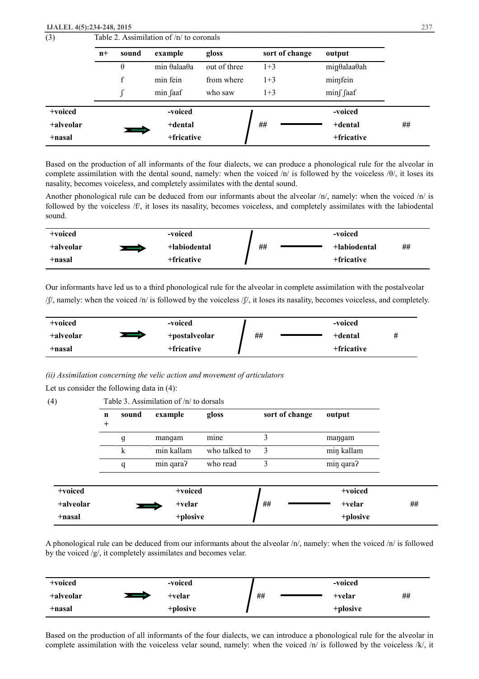| (3)       |      |       | Table 2. Assimilation of $/n/$ to coronals |              |                |             |    |
|-----------|------|-------|--------------------------------------------|--------------|----------------|-------------|----|
|           | $n+$ | sound | example                                    | gloss        | sort of change | output      |    |
|           |      | θ     | min $\theta$ alaa $\theta$ a               | out of three | $1+3$          | minθalaaθah |    |
|           |      | f     | min fein                                   | from where   | $1 + 3$        | mimfein     |    |
|           |      |       | min faaf                                   | who saw      | $1 + 3$        | minf faaf   |    |
| +voiced   |      |       | -voiced                                    |              |                | -voiced     |    |
| +alveolar |      |       | +dental                                    |              | ##             | +dental     | ## |
| +nasal    |      |       | +fricative                                 |              |                | +fricative  |    |

Based on the production of all informants of the four dialects, we can produce a phonological rule for the alveolar in complete assimilation with the dental sound, namely: when the voiced  $/n/$  is followed by the voiceless  $/θ/$ , it loses its nasality, becomes voiceless, and completely assimilates with the dental sound.

Another phonological rule can be deduced from our informants about the alveolar  $/n/$ , namely: when the voiced  $/n/$  is followed by the voiceless /f/, it loses its nasality, becomes voiceless, and completely assimilates with the labiodental sound.

| +voiced   |                   | -voiced      |    |  | -voiced      |    |
|-----------|-------------------|--------------|----|--|--------------|----|
| +alveolar | $\longrightarrow$ | +labiodental | ## |  | +labiodental | ## |
| +nasal    |                   | +fricative   |    |  | +fricative   |    |

Our informants have led us to a third phonological rule for the alveolar in complete assimilation with the postalveolar

 $/$ f/, namely: when the voiced  $/$ n/ is followed by the voiceless  $/$ f/, it loses its nasality, becomes voiceless, and completely.

| $+voiced$ |               | -voiced       |    | -voiced    |  |
|-----------|---------------|---------------|----|------------|--|
| +alveolar | $\rightarrow$ | +postalveolar | ## | +dental    |  |
| +nasal    |               | +fricative    |    | +fricative |  |

*(ii) Assimilation concerning the velic action and movement of articulators* 

Let us consider the following data in (4):

(4) Table 3. Assimilation of /n/ to dorsals

|           | $\mathbf n$<br>$^{+}$ | sound | example    | gloss         | sort of change | output     |
|-----------|-----------------------|-------|------------|---------------|----------------|------------|
|           |                       | g     | mangam     | mine          | 3              | mangam     |
|           |                       | k     | min kallam | who talked to | 3              | min kallam |
|           |                       | q     | min qara?  | who read      | 3              | min qara?  |
| +voiced   |                       |       | +voiced    |               |                | +voiced    |
| +alveolar |                       |       | +velar     |               | ##             | +velar     |
| $+$ nasal |                       |       | +plosive   |               |                | +plosive   |

A phonological rule can be deduced from our informants about the alveolar /n/, namely: when the voiced /n/ is followed by the voiced /g/, it completely assimilates and becomes velar.

| +voiced   |                   | -voiced   |    | -voiced  |    |
|-----------|-------------------|-----------|----|----------|----|
| +alveolar | $\longrightarrow$ | $+$ velar | ## | +velar   | ## |
| +nasal    |                   | +plosive  |    | +plosive |    |

Based on the production of all informants of the four dialects, we can introduce a phonological rule for the alveolar in complete assimilation with the voiceless velar sound, namely: when the voiced /n/ is followed by the voiceless /k/, it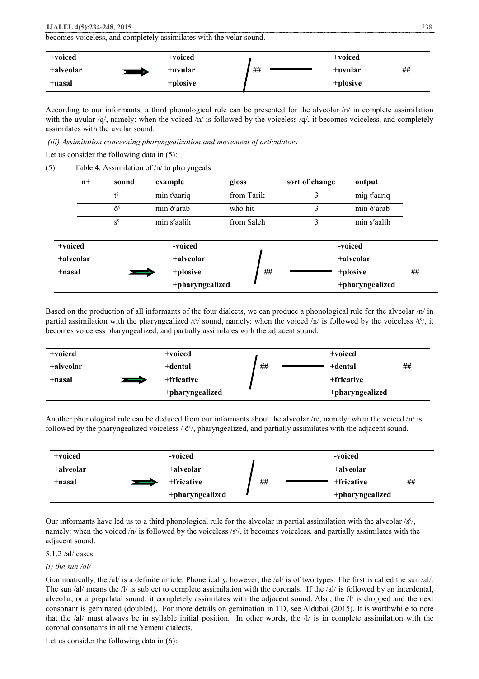becomes voiceless, and completely assimilates with the velar sound.

| +voiced   |   | +voiced  |    | +voiced  |    |
|-----------|---|----------|----|----------|----|
| +alveolar | ļ | +uvular  | ## | +uvular  | ## |
| +nasal    |   | +plosive |    | +plosive |    |

According to our informants, a third phonological rule can be presented for the alveolar /n/ in complete assimilation with the uvular  $/q$ , namely: when the voiced  $/n$  is followed by the voiceless  $/q$ , it becomes voiceless, and completely assimilates with the uvular sound.

*(iii) Assimilation concerning pharyngealization and movement of articulators* 

Let us consider the following data in (5):

(5) Table 4. Assimilation of /n/ to pharyngeals

|           | $n+$ | sound           | example                        | gloss      | sort of change | output                   |    |
|-----------|------|-----------------|--------------------------------|------------|----------------|--------------------------|----|
|           |      | $f^{\varsigma}$ | min t <sup>s</sup> aariq       | from Tarik |                | min t <sup>s</sup> aariq |    |
|           |      | ð <sup>s</sup>  | $min \delta$ <sup>s</sup> arab | who hit    | 3              | min ð <sup>s</sup> arab  |    |
|           |      | $S^{\varsigma}$ | min s <sup>s</sup> aalih       | from Saleh | 3              | min s <sup>s</sup> aalih |    |
|           |      |                 |                                |            |                |                          |    |
| +voiced   |      |                 | -voiced                        |            |                | -voiced                  |    |
| +alveolar |      |                 | +alveolar                      |            |                | +alveolar                |    |
| $+nasal$  |      |                 | +plosive                       | ##         |                | +plosive                 | ## |
|           |      |                 | +pharyngealized                |            |                | +pharyngealized          |    |

Based on the production of all informants of the four dialects, we can produce a phonological rule for the alveolar /n/ in partial assimilation with the pharyngealized /t<sup>o</sup>/ sound, namely: when the voiced /n/ is followed by the voiceless /t<sup>o</sup>/, it becomes voiceless pharyngealized, and partially assimilates with the adjacent sound.

| +voiced                     | +voiced         |    | +voiced         |    |
|-----------------------------|-----------------|----|-----------------|----|
| +alveolar                   | +dental         | ## | +dental         | ## |
| +nasal<br>$\longrightarrow$ | +fricative      |    | +fricative      |    |
|                             | +pharyngealized |    | +pharyngealized |    |

Another phonological rule can be deduced from our informants about the alveolar  $/n/$ , namely: when the voiced  $/n/$  is followed by the pharyngealized voiceless  $\frac{\delta\mathbf{S}}{\delta}$ , pharyngealized, and partially assimilates with the adjacent sound.

| +voiced   |            | -voiced         |    | -voiced         |    |
|-----------|------------|-----------------|----|-----------------|----|
| +alveolar |            | +alveolar       |    | +alveolar       |    |
| +nasal    | +fricative |                 | ## | +fricative      | ## |
|           |            | +pharyngealized |    | +pharyngealized |    |

Our informants have led us to a third phonological rule for the alveolar in partial assimilation with the alveolar /sˁ/, namely: when the voiced  $/n/$  is followed by the voiceless  $\frac{1}{s'}$ , it becomes voiceless, and partially assimilates with the adjacent sound.

5.1.2 /al/ cases

# *(i) the sun /al/*

Grammatically, the /al/ is a definite article. Phonetically, however, the /al/ is of two types. The first is called the sun /al/. The sun /al/ means the /l/ is subject to complete assimilation with the coronals. If the /al/ is followed by an interdental, alveolar, or a prepalatal sound, it completely assimilates with the adjacent sound. Also, the /l/ is dropped and the next consonant is geminated (doubled). For more details on gemination in TD, see Aldubai (2015). It is worthwhile to note that the /al/ must always be in syllable initial position. In other words, the /l/ is in complete assimilation with the coronal consonants in all the Yemeni dialects.

Let us consider the following data in (6):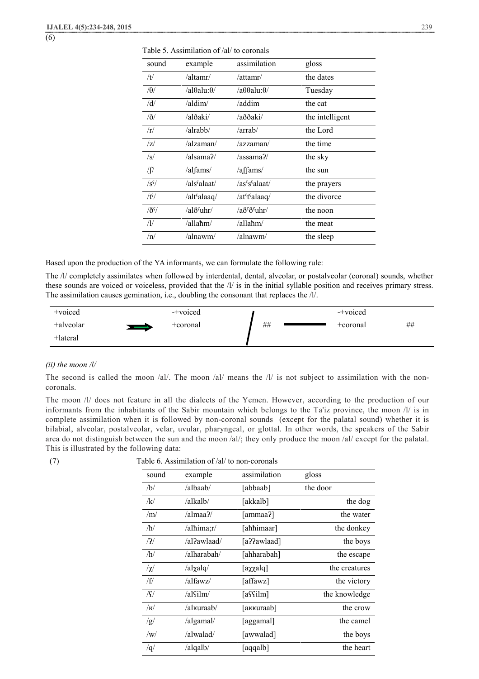(6)

| sound             | example                      | assimilation                           | gloss           |
|-------------------|------------------------------|----------------------------------------|-----------------|
| /t/               | /altamr/                     | /attamr/                               | the dates       |
| $/\theta$         | /al $\theta$ alu: $\theta$ / | $/a\theta\theta$ alu: $\theta$         | Tuesday         |
| $\overline{d}$    | /aldim/                      | /addim                                 | the cat         |
| $\delta/$         | /alðaki/                     | /aððaki/                               | the intelligent |
| $ \mathbf{r} $    | /alrabb/                     | /arnab/                                | the Lord        |
| z                 | /alzaman/                    | /azzaman/                              | the time        |
| $\sqrt{s}$        | /alsama?/                    | /assama?/                              | the sky         |
| /ʃ/               | $\alpha$ lams/               | $a$ (fams)                             | the sun         |
| $\sqrt{s'}$       | /als <sup>s</sup> alaat/     | /as <sup>5</sup> s <sup>6</sup> alaat/ | the prayers     |
| $/t^{s/2}$        | /alt <sup>s</sup> alaaq/     | /at <sup>\cit\rit \didd{d}</sup>       | the divorce     |
| /ð <sup>ς</sup> / | /alð <sup>s</sup> uhr/       | /að <sup>s</sup> ð <sup>s</sup> uhr/   | the noon        |
| $\mathcal{U}$     | /allaħm/                     | /allahm/                               | the meat        |
| /n/               | /alnawm/                     | /alnawm/                               | the sleep       |
|                   |                              |                                        |                 |

Table 5. Assimilation of /al/ to coronals

Based upon the production of the YA informants, we can formulate the following rule:

The /l/ completely assimilates when followed by interdental, dental, alveolar, or postalveolar (coronal) sounds, whether these sounds are voiced or voiceless, provided that the /l/ is in the initial syllable position and receives primary stress. The assimilation causes gemination, i.e., doubling the consonant that replaces the /l/.



#### *(ii) the moon /l/*

The second is called the moon /al/. The moon /al/ means the  $\frac{1}{i}$  is not subject to assimilation with the noncoronals.

The moon /l/ does not feature in all the dialects of the Yemen. However, according to the production of our informants from the inhabitants of the Sabir mountain which belongs to the Ta'iz province, the moon /l/ is in complete assimilation when it is followed by non-coronal sounds (except for the palatal sound) whether it is bilabial, alveolar, postalveolar, velar, uvular, pharyngeal, or glottal. In other words, the speakers of the Sabir area do not distinguish between the sun and the moon /al/; they only produce the moon /al/ except for the palatal. This is illustrated by the following data:

(7) Table 6. Assimilation of /al/ to non-coronals

| sound           | example                           | assimilation | gloss         |
|-----------------|-----------------------------------|--------------|---------------|
| /b/             | /albaab/                          | [abbaab]     | the door      |
| /k/             | /alkalb/                          | [akkalb]     | the dog       |
| /m/             | /almaa?/                          | [ammaa?]     | the water     |
| $/\hbar/$       | $/$ alhima;r $/$                  | [aħħimaar]   | the donkey    |
| /2/             | /al?awlaad/                       | [a??awlaad]  | the boys      |
| /h/             | /alharabah/                       | [ahharabah]  | the escape    |
| $/\chi/$        | $\lambda$ al $\chi$ alq $\lambda$ | [axxalq]     | the creatures |
| /f/             | /alfawz/                          | [affawz]     | the victory   |
| $\sqrt{\Omega}$ | /alfilm/                          | [aʕʕilm]     | the knowledge |
| $/\kappa/$      | /al <sub>kuraab/</sub>            | [aʁʁuraab]   | the crow      |
| /g/             | /algamal/                         | [aggamal]    | the camel     |
| /w/             | /alwalad/                         | [awwalad]    | the boys      |
| $\sqrt{q}$      | /alqalb/                          | [aqqalb]     | the heart     |
|                 |                                   |              |               |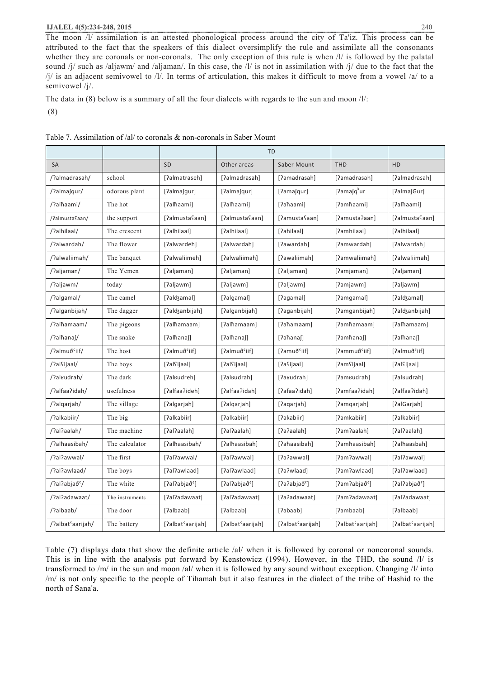The moon /l/ assimilation is an attested phonological process around the city of Ta'iz. This process can be attributed to the fact that the speakers of this dialect oversimplify the rule and assimilate all the consonants whether they are coronals or non-coronals. The only exception of this rule is when  $/1/$  is followed by the palatal sound /j/ such as /aljawm/ and /aljaman/. In this case, the /l/ is not in assimilation with /j/ due to the fact that the /j/ is an adjacent semivowel to /l/. In terms of articulation, this makes it difficult to move from a vowel /a/ to a semivowel /j/.

The data in (8) below is a summary of all the four dialects with regards to the sun and moon  $\frac{1}{\cdot}$ :

(8)

 $\mathbf{r}$ 

|                               |                 |                               | <b>TD</b>                     |                               |                           |                               |
|-------------------------------|-----------------|-------------------------------|-------------------------------|-------------------------------|---------------------------|-------------------------------|
| <b>SA</b>                     |                 | <b>SD</b>                     | Other areas                   | Saber Mount                   | <b>THD</b>                | HD                            |
| /?almadrasah/                 | school          | [?almatraseh]                 | [?almadrasah]                 | [?amadrasah]                  | [?amadrasah]              | [?almadrasah]                 |
| /?alma[qur/                   | odorous plant   | [?almafgur]                   | [?alma[qur]                   | [?ama[qur]                    | [2amafq <sup>k</sup> ur]  | [?alma[Gur]                   |
| /?alħaami/                    | The hot         | [?alħaami]                    | [?alħaami]                    | [?aħaami]                     | [?amħaami]                | [?alħaami]                    |
| /?almusta aan/                | the support     | [?almusta aan]                | [?almusta aan]                | [?amusta aan]                 | [?amusta?aan]             | [?almusta aan]                |
| /?alhilaal/                   | The crescent    | [?alhilaal]                   | [?alhilaal]                   | [?ahilaal]                    | [?amhilaal]               | [?alhilaal]                   |
| /?alwardah/                   | The flower      | [?alwardeh]                   | [?alwardah]                   | [?awardah]                    | [?amwardah]               | [?alwardah]                   |
| /?alwaliimah/                 | The banquet     | [?alwaliimeh]                 | [?alwaliimah]                 | [?awaliimah]                  | [?amwaliimah]             | [?alwaliimah]                 |
| /?aljaman/                    | The Yemen       | [?aljaman]                    | [?aljaman]                    | [?aljaman]                    | [?amjaman]                | [?aljaman]                    |
| /?aljawm/                     | today           | [?aljawm]                     | [?aljawm]                     | [?aljawm]                     | [?amjawm]                 | [?aljawm]                     |
| /?algamal/                    | The camel       | [?alʤamal]                    | [?algamal]                    | [?agamal]                     | [?amgamal]                | [?aldʒamal]                   |
| /?alganbijah/                 | The dagger      | [?alʤanbijah]                 | [?alganbijah]                 | [?aganbijah]                  | [?amganbijah]             | [?alʤanbijah]                 |
| /?alħamaam/                   | The pigeons     | [?alħamaam]                   | [?alħamaam]                   | [?aħamaam]                    | [?amħamaam]               | [?alħamaam]                   |
| /?alħanal/                    | The snake       | [?alħana[]                    | [?alħana[]                    | [?aħanaʃ]                     | [?amħana[]                | [?alħana[]                    |
| /?almuð°iif/                  | The host        | [?almuð <sup>c</sup> iif]     | [?almuð <sup>c</sup> iif]     | [?amuð <sup>c</sup> iif]      | [?ammuð <sup>c</sup> iif] | [?almuð <sup>c</sup> iif]     |
| /?alʕijaal/                   | The boys        | [?alʕijaal]                   | [?alʕijaal]                   | [ʔaʕijaal]                    | [?am ijaal]               | [?alʕijaal]                   |
| /?alʁudrah/                   | The dark        | [?alʁudreh]                   | [?alʁudrah]                   | [?aʁudrah]                    | [?amʁudrah]               | [?alʁudrah]                   |
| /?alfaa?idah/                 | usefulness      | [?alfaa?ideh]                 | [?alfaa?idah]                 | [?afaa?idah]                  | [?amfaa?idah]             | [?alfaa?idah]                 |
| /?algarjah/                   | The village     | [?algarjah]                   | [?algarjah]                   | [?aqarjah]                    | [?amgarjah]               | [?alGarjah]                   |
| /?alkabiir/                   | The big         | [?alkabiir]                   | [?alkabiir]                   | [?akabiir]                    | [?amkabiir]               | [?alkabiir]                   |
| /?al?aalah/                   | The machine     | [?al?aalah]                   | [?al?aalah]                   | [?a?aalah]                    | [?am?aalah]               | [?al?aalah]                   |
| /?alħaasibah/                 | The calculator  | [?alħaasibah/                 | [?alħaasibah]                 | [?aħaasibah]                  | [?amħaasibah]             | [?alħaasbah]                  |
| /?al?awwal/                   | The first       | [?al?awwal/                   | [?al?awwal]                   | [7a?awwal]                    | [?am?awwal]               | [?al?awwal]                   |
| /?al?awlaad/                  | The boys        | [?al?awlaad]                  | [?al?awlaad]                  | [?a?wlaad]                    | [?am?awlaad]              | [?al?awlaad]                  |
| /?al?abjað <sup>s</sup> /     | The white       | [?al?abjað <sup>ç</sup> ]     | $[?a1?abja\delta']$           | [?a?abjað']                   | [?am?abjað°]              | [?al?abjað <sup>c</sup> ]     |
| /?al?adawaat/                 | The instruments | [?al?adawaat]                 | [?al?adawaat]                 | [?a?adawaat]                  | [?am?adawaat]             | [?al?adawaat]                 |
| /?albaab/                     | The door        | [?albaab]                     | [?albaab]                     | [?abaab]                      | [?ambaab]                 | [?albaab]                     |
| /?albat <sup>c</sup> aarijah/ | The battery     | [?albat <sup>c</sup> aarijah] | [?albat <sup>c</sup> aarijah] | [?albat <sup>c</sup> aarijah] | [?albat'aarijah]          | [?albat <sup>c</sup> aarijah] |

Table 7. Assimilation of /al/ to coronals & non-coronals in Saber Mount

Table (7) displays data that show the definite article /al/ when it is followed by coronal or noncoronal sounds. This is in line with the analysis put forward by Kenstowicz (1994). However, in the THD, the sound /l/ is transformed to /m/ in the sun and moon /al/ when it is followed by any sound without exception. Changing /l/ into /m/ is not only specific to the people of Tihamah but it also features in the dialect of the tribe of Hashid to the north of Sana'a.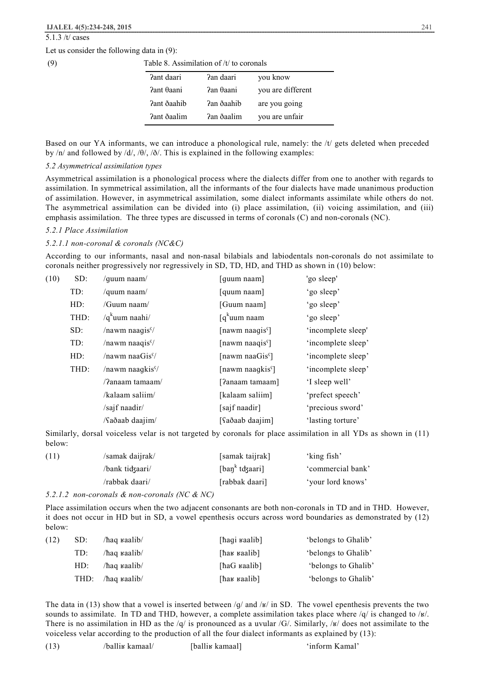5.1.3 /t/ cases

Let us consider the following data in (9):

(9) Table 8. Assimilation of /t/ to coronals

| Pant daari  | Pan daari  | you know          |
|-------------|------------|-------------------|
| Pant Oaani  | ?an θaani  | you are different |
| Pant ðaahib | ?an ðaahib | are you going     |
| Pant ðaalim | ?an ðaalim | you are unfair    |

Based on our YA informants, we can introduce a phonological rule, namely: the /t/ gets deleted when preceded by /n/ and followed by /d/, /θ/, /ð/. This is explained in the following examples:

#### *5.2 Asymmetrical assimilation types*

Asymmetrical assimilation is a phonological process where the dialects differ from one to another with regards to assimilation. In symmetrical assimilation, all the informants of the four dialects have made unanimous production of assimilation. However, in asymmetrical assimilation, some dialect informants assimilate while others do not. The asymmetrical assimilation can be divided into (i) place assimilation, (ii) voicing assimilation, and (iii) emphasis assimilation. The three types are discussed in terms of coronals (C) and non-coronals (NC).

## *5.2.1 Place Assimilation*

## *5.2.1.1 non-coronal & coronals (NC&C)*

According to our informants, nasal and non-nasal bilabials and labiodentals non-coronals do not assimilate to coronals neither progressively nor regressively in SD, TD, HD, and THD as shown in (10) below:

| (10) | SD:  | /guum naam/                  | [guum naam]                             | 'go sleep'         |
|------|------|------------------------------|-----------------------------------------|--------------------|
|      | TD:  | /quum naam/                  | [quum naam]                             | 'go sleep'         |
|      | HD:  | /Guum naam/                  | [Guum naam]                             | 'go sleep'         |
|      | THD: | $/q^k$ uum naahi/            | $\int q^k$ uum naam                     | 'go sleep'         |
|      | SD:  | /nawm naagis $\frac{5}{7}$   | [nawm naagis $\lceil$ ]                 | 'incomplete sleep' |
|      | TD:  | /nawm naaqis $\frac{5}{7}$   | [nawm naaqis <sup>q</sup> ]             | 'incomplete sleep' |
|      | HD:  | /nawm naaGis <sup>?</sup> /  | [nawm naa $\text{Gis}^{\mathfrak{c}}$ ] | 'incomplete sleep' |
|      | THD: | /nawm naagkis <sup>9</sup> / | [nawm naagkis <sup>9</sup> ]            | 'incomplete sleep' |
|      |      | /?anaam tamaam/              | [?anaam tamaam]                         | 'I sleep well'     |
|      |      | /kalaam saliim/              | [kalaam saliim]                         | 'prefect speech'   |
|      |      | /sajf naadir/                | [sajf naadir]                           | 'precious sword'   |
|      |      | /Saðaab daajim/              | [Saðaab daajim]                         | 'lasting torture'  |
|      |      |                              |                                         |                    |

Similarly, dorsal voiceless velar is not targeted by coronals for place assimilation in all YDs as shown in (11) below:

| (11) | /samak daijrak/ | [samak taijrak]            | 'king fish'       |
|------|-----------------|----------------------------|-------------------|
|      | /bank tidzaari/ | [ban <sup>k</sup> tdzaari] | 'commercial bank' |
|      | /rabbak daari/  | [rabbak daari]             | 'your lord knows' |

*5.2.1.2 non-coronals & non-coronals (NC & NC)*

Place assimilation occurs when the two adjacent consonants are both non-coronals in TD and in THD. However, it does not occur in HD but in SD, a vowel epenthesis occurs across word boundaries as demonstrated by (12) below:

| (12) | SD: | /haq <sub>kaalib/</sub>   | [hagi <i>saalib</i> ] | 'belongs to Ghalib'        |
|------|-----|---------------------------|-----------------------|----------------------------|
|      | TD: | hag realib/               | [har raalib]          | <i>'belongs to Ghalib'</i> |
|      | HD: | hag realib/               | [haG $\alpha$ aalib]  | 'belongs to Ghalib'        |
|      |     | THD: /haq $\alpha$ aalib/ | [hak kaalib]          | 'belongs to Ghalib'        |

The data in (13) show that a vowel is inserted between  $/q$  and  $/k$  in SD. The vowel epenthesis prevents the two sounds to assimilate. In TD and THD, however, a complete assimilation takes place where  $/q/$  is changed to /ʁ/. There is no assimilation in HD as the /q/ is pronounced as a uvular /G/. Similarly, /ʁ/ does not assimilate to the voiceless velar according to the production of all the four dialect informants as explained by (13):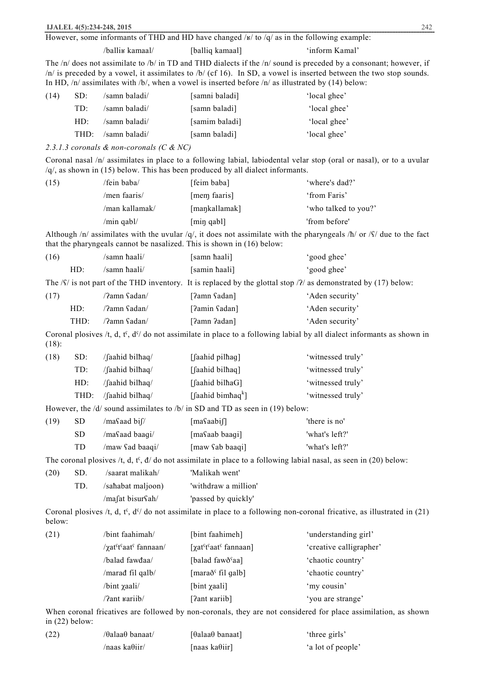|          |           | IJALEL 4(5):234-248, 2015                                   |                                                                                                                                | 242                                                                                                                                                                                                                                                |
|----------|-----------|-------------------------------------------------------------|--------------------------------------------------------------------------------------------------------------------------------|----------------------------------------------------------------------------------------------------------------------------------------------------------------------------------------------------------------------------------------------------|
|          |           |                                                             | However, some informants of THD and HD have changed /x/ to /q/ as in the following example:                                    |                                                                                                                                                                                                                                                    |
|          |           | /ballis kamaal/                                             | [balliq kamaal]                                                                                                                | 'inform Kamal'                                                                                                                                                                                                                                     |
|          |           |                                                             | In HD, $/n/$ assimilates with $/b/$ , when a vowel is inserted before $/n/$ as illustrated by (14) below:                      | The $/n/$ does not assimilate to $/b/$ in TD and THD dialects if the $/n/$ sound is preceded by a consonant; however, if<br>$/n/$ is preceded by a vowel, it assimilates to $/b/$ (cf 16). In SD, a vowel is inserted between the two stop sounds. |
| (14)     | SD:       | /samn baladi/                                               | [samni baladi]                                                                                                                 | 'local ghee'                                                                                                                                                                                                                                       |
|          | TD:       | /samn baladi/                                               | [samn baladi]                                                                                                                  | 'local ghee'                                                                                                                                                                                                                                       |
|          | HD:       | /samn baladi/                                               | [samim baladi]                                                                                                                 | 'local ghee'                                                                                                                                                                                                                                       |
|          | THD:      | /samn baladi/                                               | [samn baladi]                                                                                                                  | 'local ghee'                                                                                                                                                                                                                                       |
|          |           | 2.3.1.3 coronals & non-coronals ( $C \& NC$ )               |                                                                                                                                |                                                                                                                                                                                                                                                    |
|          |           |                                                             | $/q/$ , as shown in (15) below. This has been produced by all dialect informants.                                              | Coronal nasal /n/ assimilates in place to a following labial, labiodental velar stop (oral or nasal), or to a uvular                                                                                                                               |
| (15)     |           | /fein baba/                                                 | [feim baba]                                                                                                                    | 'where's dad?'                                                                                                                                                                                                                                     |
|          |           | /men faaris/                                                | [mem faaris]                                                                                                                   | 'from Faris'                                                                                                                                                                                                                                       |
|          |           | /man kallamak/                                              | [mankallamak]                                                                                                                  | 'who talked to you?'                                                                                                                                                                                                                               |
|          |           | /min qabl/                                                  | $\lceil \min$ qabl $\rceil$                                                                                                    | 'from before'                                                                                                                                                                                                                                      |
|          |           |                                                             | that the pharyngeals cannot be nasalized. This is shown in (16) below:                                                         | Although /n/ assimilates with the uvular /q/, it does not assimilate with the pharyngeals /h/ or /f/ due to the fact                                                                                                                               |
| (16)     |           | /samn haali/                                                | [samn haali]                                                                                                                   | 'good ghee'                                                                                                                                                                                                                                        |
|          | HD:       | /samn haali/                                                | [samin ħaali]                                                                                                                  | 'good ghee'                                                                                                                                                                                                                                        |
|          |           |                                                             | The $\sqrt{S}$ is not part of the THD inventory. It is replaced by the glottal stop $\sqrt{2}$ as demonstrated by (17) below:  |                                                                                                                                                                                                                                                    |
| (17)     |           | /?amn fadan/                                                | [?amn fadan]                                                                                                                   | 'Aden security'                                                                                                                                                                                                                                    |
|          | HD:       | /?amn fadan/                                                | [?amin fadan]                                                                                                                  | 'Aden security'                                                                                                                                                                                                                                    |
|          | THD:      | /?amn fadan/                                                | [?amn ?adan]                                                                                                                   | 'Aden security'                                                                                                                                                                                                                                    |
| $(18)$ : |           |                                                             |                                                                                                                                | Coronal plosives /t, d, t <sup>c</sup> , d <sup>c</sup> / do not assimilate in place to a following labial by all dialect informants as shown in                                                                                                   |
| (18)     | SD:       | /faahid bilhaq/                                             | [faahid pilhag]                                                                                                                | 'witnessed truly'                                                                                                                                                                                                                                  |
|          | TD:       | /faahid bilhaq/                                             | [faahid bilhaq]                                                                                                                | 'witnessed truly'                                                                                                                                                                                                                                  |
|          | HD:       | /faahid bilhaq/                                             | [faahid bilhaG]                                                                                                                | 'witnessed truly'                                                                                                                                                                                                                                  |
|          | THD:      | /faahid bilhaq/                                             | [faahid bimhaq $k$ ]                                                                                                           | 'witnessed truly'                                                                                                                                                                                                                                  |
|          |           |                                                             | However, the /d/ sound assimilates to /b/ in SD and TD as seen in (19) below:                                                  |                                                                                                                                                                                                                                                    |
| (19)     | <b>SD</b> | /masaad bif/                                                | [masaabif]                                                                                                                     | 'there is no'                                                                                                                                                                                                                                      |
|          | <b>SD</b> | /masaad baagi/                                              | [masaab baagi]                                                                                                                 | 'what's left?'                                                                                                                                                                                                                                     |
|          | TD        | /maw fad baaqi/                                             | [maw fab baaqi]                                                                                                                | 'what's left?'                                                                                                                                                                                                                                     |
|          |           |                                                             | The coronal plosives /t, d, t <sup>c</sup> , d/ do not assimilate in place to a following labial nasal, as seen in (20) below: |                                                                                                                                                                                                                                                    |
| (20)     | SD.       | /saarat malikah/                                            | 'Malikah went'                                                                                                                 |                                                                                                                                                                                                                                                    |
|          | TD.       | /sahabat maljoon)                                           | 'withdraw a million'                                                                                                           |                                                                                                                                                                                                                                                    |
|          |           | /mafat bisurfah/                                            | 'passed by quickly'                                                                                                            |                                                                                                                                                                                                                                                    |
| below:   |           |                                                             |                                                                                                                                | Coronal plosives /t, d, t <sup>c</sup> , d <sup>c</sup> / do not assimilate in place to a following non-coronal fricative, as illustrated in (21)                                                                                                  |
| (21)     |           | /bint faahimah/                                             | [bint faahimeh]                                                                                                                | 'understanding girl'                                                                                                                                                                                                                               |
|          |           | /χat <sup>cf</sup> t <sup>c</sup> aat <sup>c</sup> fannaan/ | [xat <sup>c*</sup> t <sup>c*</sup> aat <sup>c*</sup> fannaan]                                                                  | 'creative calligrapher'                                                                                                                                                                                                                            |
|          |           | /balad fawdaa/                                              | [balad fawð <sup>s</sup> aa]                                                                                                   | 'chaotic country'                                                                                                                                                                                                                                  |
|          |           | /marađ fil qalb/                                            | [marað <sup>ç</sup> fil galb]                                                                                                  | 'chaotic country'                                                                                                                                                                                                                                  |
|          |           | /bint xaali/                                                | [bint xaali]                                                                                                                   | 'my cousin'                                                                                                                                                                                                                                        |
|          |           | /?ant sariib/                                               | [?ant wariib]                                                                                                                  | 'you are strange'                                                                                                                                                                                                                                  |
|          |           |                                                             |                                                                                                                                | When coronal fricatives are followed by non-coronals, they are not considered for place assimilation, as shown                                                                                                                                     |

in (22) below: (22) /θalaaθ banaat/ [θalaaθ banaat] 'three girls'

| (L2) | ∕⊎aiaa⊎ banaat⁄ | Tuanaan danaatt        | three girls       |
|------|-----------------|------------------------|-------------------|
|      | ∕naas kaθiir∕   | [naas ka $\theta$ iir] | 'a lot of people' |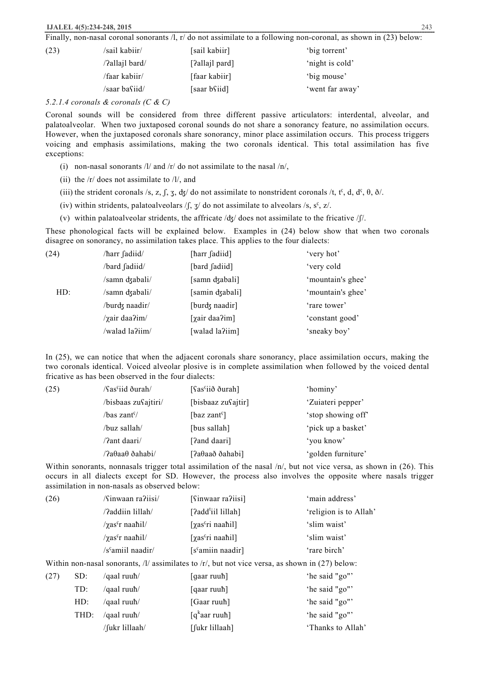Finally, non-nasal coronal sonorants /l, r/ do not assimilate to a following non-coronal, as shown in (23) below:

| (23) | /sail kabiir/  | [sail kabiir]  | 'big torrent'   |
|------|----------------|----------------|-----------------|
|      | /?allail bard/ | [?allajl pard] | 'night is cold' |
|      | /faar kabiir/  | [faar kabiir]  | 'big mouse'     |
|      | /saar basiid/  | [saar bsiid]   | 'went far away' |
|      |                |                |                 |

*5.2.1.4 coronals & coronals (C & C)* 

Coronal sounds will be considered from three different passive articulators: interdental, alveolar, and palatoalveolar. When two juxtaposed coronal sounds do not share a sonorancy feature, no assimilation occurs. However, when the juxtaposed coronals share sonorancy, minor place assimilation occurs. This process triggers voicing and emphasis assimilations, making the two coronals identical. This total assimilation has five exceptions:

- (i) non-nasal sonorants  $\frac{1}{a}$  and  $\frac{r}{a}$  do not assimilate to the nasal  $\frac{r}{n}$ ,
- (ii) the /r/ does not assimilate to /l/, and
- (iii) the strident coronals /s, z, f, z, dz/ do not assimilate to nonstrident coronals /t, t<sup>c</sup>, d, d<sup>c</sup>,  $\theta$ ,  $\delta$ /.
- (iv) within stridents, palatoalveolars  $\int$ ,  $\frac{\pi}{3}$  do not assimilate to alveolars /s, s<sup>c</sup>, z/.
- (v) within palatoalveolar stridents, the affricate /ʤ/ does not assimilate to the fricative /ʃ/.

These phonological facts will be explained below. Examples in (24) below show that when two coronals disagree on sonorancy, no assimilation takes place. This applies to the four dialects:

| (24) | /harr fadiid/  | [harr fadiid]        | 'very hot'        |
|------|----------------|----------------------|-------------------|
|      | /bard fadiid/  | [bard fadiid]        | 'very cold        |
|      | /samn dzabali/ | [samn dzabali]       | 'mountain's ghee' |
| HD:  | /samn dzabali/ | [samin dzabali]      | 'mountain's ghee' |
|      | /burdz naadir/ | [burdz naadir]       | 'rare tower'      |
|      | /χair daa?im/  | [ $\chi$ air daa?im] | 'constant good'   |
|      | /walad la?iim/ | [walad la?iim]       | 'sneaky boy'      |
|      |                |                      |                   |

In (25), we can notice that when the adjacent coronals share sonorancy, place assimilation occurs, making the two coronals identical. Voiced alveolar plosive is in complete assimilation when followed by the voiced dental fricative as has been observed in the four dialects:

| (25) | /Sassiid ðurah/          | [fas <sup>c</sup> iið ðurah] | 'hominy'           |
|------|--------------------------|------------------------------|--------------------|
|      | /bisbaas zufajtiri/      | [bisbaaz zusajtir]           | 'Zuiateri pepper'  |
|      | /bas zant <sup>ç</sup> / | [baz zant $\lceil$ ]         | 'stop showing off' |
|      | /buz sallah/             | [bus sallah]                 | 'pick up a basket' |
|      | /?ant daari/             | [?and daari]                 | 'you know'         |
|      | /?aθaaθ ðahabi/          | [?aθaað ðahabi]              | 'golden furniture' |

Within sonorants, nonnasals trigger total assimilation of the nasal /n/, but not vice versa, as shown in (26). This occurs in all dialects except for SD. However, the process also involves the opposite where nasals trigger assimilation in non-nasals as observed below:

| (26) | /Sinwaan ra?iisi/                  | [Sinwaar ra?iisi]                           | 'main address'         |
|------|------------------------------------|---------------------------------------------|------------------------|
|      | /?addiin lillah/                   | [ $2add$ <sup>t</sup> iil lillah]           | 'religion is to Allah' |
|      | $\gamma$ as <sup>c</sup> r naahil/ | $\lceil \chi \text{as}^c \text{ri}$ naahil] | 'slim waist'           |
|      | $\gamma$ as <sup>c</sup> r naahil/ | $\lceil \chi \text{as}^c \text{ri}$ naahil] | 'slim waist'           |
|      | /s <sup>s</sup> amiil naadir/      | $[s5 amin na1]$                             | 'rare birch'           |
|      |                                    |                                             |                        |

Within non-nasal sonorants,  $/1/$  assimilates to  $/r/$ , but not vice versa, as shown in (27) below:

| (27) | SD:  | /qaal ruuh/       | [gaar ruuħ]            | "he said "go"     |
|------|------|-------------------|------------------------|-------------------|
|      | TD:  | /qaal ruuh/       | [qaar ruuħ]            | 'he said "go"'    |
|      | HD:  | $/$ qaal ruuh $/$ | [Gaar ruuh]            | 'he said "go"'    |
|      | THD: | $/$ qaal ruuh $/$ | $\lceil q^k$ aar ruuh] | 'he said "go"'    |
|      |      | /fukr lillaah/    | [fukr lillaah]         | 'Thanks to Allah' |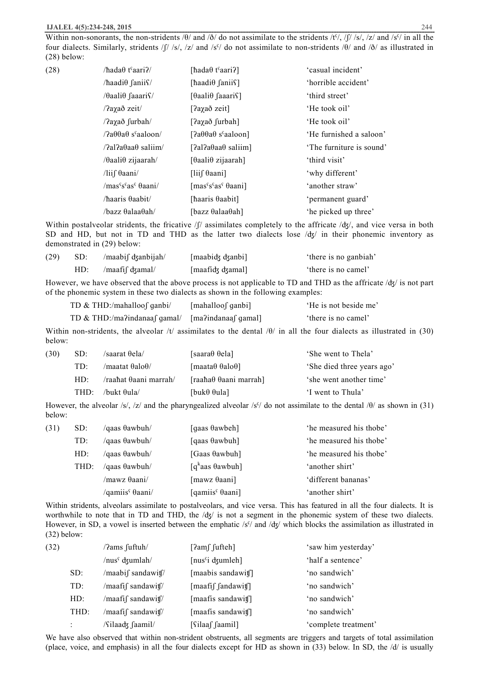Within non-sonorants, the non-stridents /θ/ and /ð/ do not assimilate to the stridents /tˤ/, /ʃ/ /s/, /z/ and /sˤ/ in all the four dialects. Similarly, stridents / $\int$ / /s/, /z/ and /s<sup> $\zeta$ </sup>/ do not assimilate to non-stridents / $\theta$ / and / $\delta$ / as illustrated in (28) below:

| (28) | $/$ hada $\theta$ t <sup>s</sup> aari?/             | [hada $\theta$ t <sup>s</sup> aari?]                    | 'casual incident'        |
|------|-----------------------------------------------------|---------------------------------------------------------|--------------------------|
|      | /haadi $\theta$ faniis/                             | [ħaadiθ ʃaniiſ]                                         | 'horrible accident'      |
|      | $\theta$ aali $\theta$ faaaris/                     | [θaaliθ saaariς]                                        | 'third street'           |
|      | /?aγað zeit/                                        | [?ayað zeit]                                            | 'He took oil'            |
|      | /?ayað furbah/                                      | [?ayað ʃurbah]                                          | 'He took oil'            |
|      | $/2a\theta\theta$ a $\theta$ s <sup>s</sup> aaloon/ | [?aθθaθ s <sup>ς</sup> aaloon]                          | 'He furnished a saloon'  |
|      | /?al?aθaaθ saliim/                                  | [?al?aθaaθ saliim]                                      | 'The furniture is sound' |
|      | $\theta$ aali $\theta$ zijaarah/                    | [θaaliθ zijaarah]                                       | 'third visit'            |
|      | $\pi$ iif $\theta$ aani/                            | $\left[ 1ii \right]$ $\theta$ aani]                     | 'why different'          |
|      | $/mascssc asc 0 aani/$                              | [mas <sup>ç</sup> s <sup>ç</sup> as <sup>ç</sup> θaani] | 'another straw'          |
|      | /haaris $\theta$ aabit/                             | [ħaaris θaabit]                                         | 'permanent guard'        |
|      | /bazz θalaaθah/                                     | [bazz θalaaθah]                                         | 'he picked up three'     |
|      |                                                     |                                                         |                          |

Within postalveolar stridents, the fricative /ʃ/ assimilates completely to the affricate /ʤ/, and vice versa in both SD and HD, but not in TD and THD as the latter two dialects lose /ʤ/ in their phonemic inventory as demonstrated in (29) below:

| (29) | SD: | /maabif dzanbijah/                 | [maabidg dzanbi] | there is no ganbiah'                                                                                                       |
|------|-----|------------------------------------|------------------|----------------------------------------------------------------------------------------------------------------------------|
|      | HD: | $/$ maafi $\int$ d $\tau$ amal $/$ | [maafidʒ dʒamal] | there is no camel'                                                                                                         |
|      |     |                                    |                  | However, we have observed that the above process is not applicable to TD and THD as the affricate $\partial z$ is not part |

However, we have observed that the above process is not applicable to TD and THD as the affricate  $\frac{1}{\sqrt{3}}$  is not part of the phonemic system in these two dialects as shown in the following examples:

| TD $&$ THD:/mahalloof ganbi/ | [math]                                              | 'He is not beside me' |
|------------------------------|-----------------------------------------------------|-----------------------|
| TD & THD:/ma?indanaaf gamal/ | $\lceil \text{ma} \cdot \text{indana} \rceil$ gamal | there is no camel'    |

Within non-stridents, the alveolar /t/ assimilates to the dental / $\theta$ / in all the four dialects as illustrated in (30) below:

| (30) | SD:  | /saarat θela/                     | $[saara\theta \theta ela]$                        | 'She went to Thela'        |
|------|------|-----------------------------------|---------------------------------------------------|----------------------------|
|      | TD:  | $/$ maatat $\theta$ alo $\theta/$ | $\lceil \text{maata}\theta \theta$ alo $\theta$ l | 'She died three years ago' |
|      | HD:  | /raahat 0aani marrah/             | $[raaha\theta \theta \hat{a}$ ani marrah]         | 'she went another time'    |
|      | THD: | $/bukt \theta ula/$               | [bukθ θula]                                       | 'I went to Thula'          |

However, the alveolar /s/, /z/ and the pharyngealized alveolar /s<sup>c</sup>/ do not assimilate to the dental /θ/ as shown in (31) below:

| (31) | SD:  | /qaas $\theta$ awbuh/       | [gaas θawbeh]               | 'he measured his thobe' |
|------|------|-----------------------------|-----------------------------|-------------------------|
|      | TD:  | /qaas $\theta$ awbuh/       | [qaas θawbuh]               | 'he measured his thobe' |
|      | HD:  | /qaas 0awbuh/               | [Gaas θawbuh]               | 'he measured his thobe' |
|      | THD: | /qaas 0awbuh/               | $[q^k$ aas $\theta$ awbuh]  | 'another shirt'         |
|      |      | /mawz θaani/                | [mawz θaani]                | 'different bananas'     |
|      |      | /qamiis <sup>s</sup> θaani/ | [qamiis <sup>{</sup> θaani] | 'another shirt'         |

Within stridents, alveolars assimilate to postalveolars, and vice versa. This has featured in all the four dialects. It is worthwhile to note that in TD and THD, the /ʤ/ is not a segment in the phonemic system of these two dialects. However, in SD, a vowel is inserted between the emphatic /s<sup>o</sup>/ and / $\frac{1}{\sqrt{5}}$  which blocks the assimilation as illustrated in (32) below:

| (32) |           | /?ams fuftuh/            | $[2am]$ [ufteh]                 | 'saw him yesterday'  |
|------|-----------|--------------------------|---------------------------------|----------------------|
|      |           | / $nus^{\zeta}$ dzumlah/ | [ $nus$ <sup>c</sup> i dzumleh] | 'half a sentence'    |
|      | SD:       | /maabif sandawitf/       | [maabis sandawit]]              | 'no sandwich'        |
|      | TD:       | /maafif sandawitf/       | [maafif fandawit]               | 'no sandwich'        |
|      | HD:       | /maafif sandawitf/       | [maafis sandawit]               | 'no sandwich'        |
|      | THD:      | /maafif sandawit         | [maafis sandawit]               | 'no sandwich'        |
|      | $\bullet$ | /Silaadz faamil/         | $[\text{Gilaaf}$ [aamil]        | 'complete treatment' |
|      |           |                          |                                 |                      |

We have also observed that within non-strident obstruents, all segments are triggers and targets of total assimilation (place, voice, and emphasis) in all the four dialects except for HD as shown in (33) below. In SD, the /d/ is usually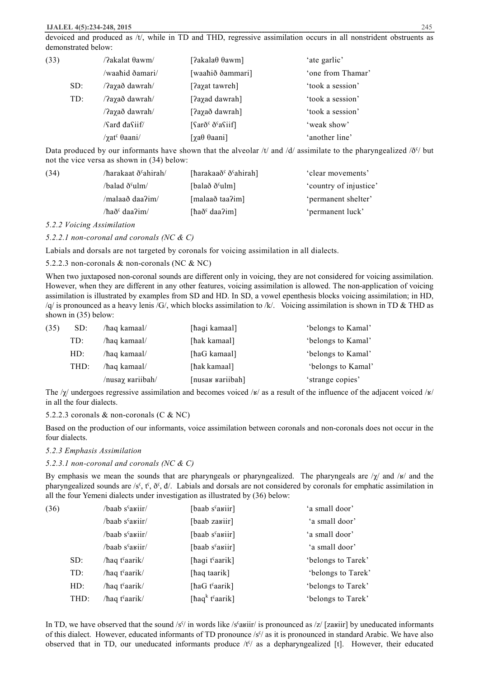devoiced and produced as /t/, while in TD and THD, regressive assimilation occurs in all nonstrident obstruents as demonstrated below:

| (33) | /?akalat 0awm/              | [?akalaθ θawm]                                                | 'ate garlic'      |
|------|-----------------------------|---------------------------------------------------------------|-------------------|
|      | /waahid ðamari/             | [waahið ðammari]                                              | 'one from Thamar' |
| SD:  | /?axað dawrah/              | [ <i>Paxat</i> tawreh]                                        | 'took a session'  |
| TD:  | /?axað dawrah/              | [?axad dawrah]                                                | 'took a session'  |
|      | /?axað dawrah/              | [?axað dawrah]                                                | 'took a session'  |
|      | $\pi$ ard dafiif/           | $\left[\frac{\text{Sar\&\delta}{\text{sar\thinspace}}\right]$ | 'weak show'       |
|      | $\sqrt{2at}$ $\theta$ aani/ | $\lceil \chi a \theta \theta a a \rangle$                     | 'another line'    |

Data produced by our informants have shown that the alveolar /t/ and /d/ assimilate to the pharyngealized / $\delta$ °/ but not the vice versa as shown in (34) below:

| /harakaat ð <sup>s</sup> ahirah/ | [harakaað $\delta$ d $\delta$ ahirah] | 'clear movements'      |
|----------------------------------|---------------------------------------|------------------------|
| /balad ðˤulm/                    | [balað ðˤulm]                         | 'country of injustice' |
| /malaað daa?im/                  | [malaað taa?im]                       | 'permanent shelter'    |
| /ħaðˤ daa?im/                    | $[ha\delta6 daa?im]$                  | 'permanent luck'       |
|                                  |                                       |                        |

*5.2.2 Voicing Assimilation* 

*5.2.2.1 non-coronal and coronals (NC & C)* 

Labials and dorsals are not targeted by coronals for voicing assimilation in all dialects.

# 5.2.2.3 non-coronals & non-coronals (NC & NC)

When two juxtaposed non-coronal sounds are different only in voicing, they are not considered for voicing assimilation. However, when they are different in any other features, voicing assimilation is allowed. The non-application of voicing assimilation is illustrated by examples from SD and HD. In SD, a vowel epenthesis blocks voicing assimilation; in HD,  $/q$  is pronounced as a heavy lenis /G/, which blocks assimilation to /k/. Voicing assimilation is shown in TD & THD as shown in (35) below:

| (35) | SD:  | /haq kamaal/            | [ħagi kamaal]    | 'belongs to Kamal' |
|------|------|-------------------------|------------------|--------------------|
|      | TD:  | /haq kamaal/            | [ħak kamaal]     | 'belongs to Kamal' |
|      | HD:  | /haq kamaal/            | [ħaG kamaal]     | 'belongs to Kamal' |
|      | THD: | /haq kamaal/            | [ħak kamaal]     | 'belongs to Kamal' |
|      |      | /nusaχ <i>kariibah/</i> | [nusar rariibah] | 'strange copies'   |

The  $/\chi$  undergoes regressive assimilation and becomes voiced  $/\kappa$  as a result of the influence of the adjacent voiced  $/\kappa$ in all the four dialects.

#### 5.2.2.3 coronals & non-coronals (C & NC)

Based on the production of our informants, voice assimilation between coronals and non-coronals does not occur in the four dialects.

*5.2.3 Emphasis Assimilation* 

#### *5.2.3.1 non-coronal and coronals (NC & C)*

By emphasis we mean the sounds that are pharyngeals or pharyngealized. The pharyngeals are /χ/ and /ʁ/ and the pharyngealized sounds are /s<sup>c</sup>, t<sup>c</sup>,  $\delta$ <sup>c</sup>,  $d$ . Labials and dorsals are not considered by coronals for emphatic assimilation in all the four Yemeni dialects under investigation as illustrated by (36) below:

| (36) | /baab s <sup>s</sup> ariir/ | [baab $sc$ ariir]                       | 'a small door'     |
|------|-----------------------------|-----------------------------------------|--------------------|
|      | /baab s <sup>s</sup> ariir/ | [baab zariir]                           | 'a small door'     |
|      | /baab s <sup>s</sup> ariir/ | [baab $sc$ ariir]                       | 'a small door'     |
|      | /baab s <sup>s</sup> ariir/ | [baab $sc$ ariir]                       | 'a small door'     |
| SD:  | /haq t <sup>s</sup> aarik/  | [ħagi tˤaarik]                          | 'belongs to Tarek' |
| TD:  | /haq t <sup>s</sup> aarik/  | [haq taarik]                            | 'belongs to Tarek' |
| HD:  | /haq t <sup>s</sup> aarik/  | [ħaG tˤaarik]                           | 'belongs to Tarek' |
| THD: | /haq t <sup>s</sup> aarik/  | [haq <sup>k</sup> t <sup>s</sup> aarik] | 'belongs to Tarek' |
|      |                             |                                         |                    |

In TD, we have observed that the sound /s<sup>o</sup>/ in words like /s<sup>o</sup>aʁiir/ is pronounced as /z/ [zaʁiir] by uneducated informants of this dialect. However, educated informants of TD pronounce /sˁ/ as it is pronounced in standard Arabic. We have also observed that in TD, our uneducated informants produce  $\langle f \rangle$  as a depharyngealized [t]. However, their educated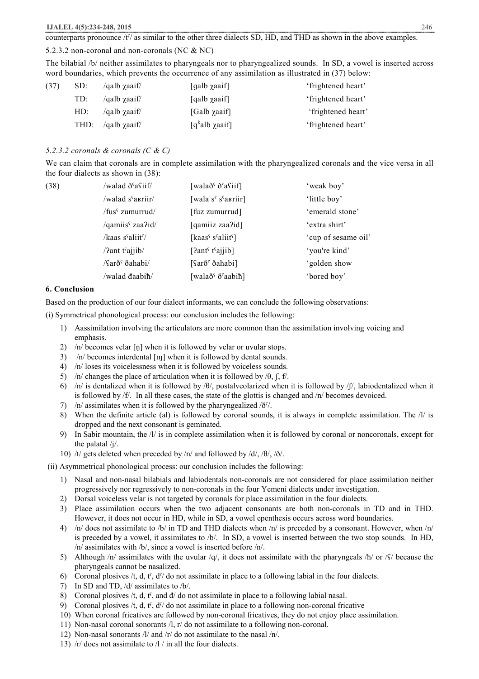counterparts pronounce /t<sup>o</sup>/ as similar to the other three dialects SD, HD, and THD as shown in the above examples.

#### 5.2.3.2 non-coronal and non-coronals (NC & NC)

The bilabial /b/ neither assimilates to pharyngeals nor to pharyngealized sounds. In SD, a vowel is inserted across word boundaries, which prevents the occurrence of any assimilation as illustrated in (37) below:

| (37) | SD: | /qalb yaaif/                                                             | [galb xaaif]                  | 'frightened heart' |
|------|-----|--------------------------------------------------------------------------|-------------------------------|--------------------|
|      | TD: | /qalb $\gamma$ aaif/                                                     | [qalb xaaif]                  | 'frightened heart' |
|      | HD: | /qalb $\gamma$ aaif/                                                     | [Galb xaaif]                  | 'frightened heart' |
|      |     | THD: $\frac{\text{qalb}}{\text{qalb}}$ $\frac{\text{qalb}}{\text{qalb}}$ | $\lceil q^k a \rceil b$ yaaif | 'frightened heart' |

### *5.2.3.2 coronals & coronals (C & C)*

We can claim that coronals are in complete assimilation with the pharyngealized coronals and the vice versa in all the four dialects as shown in (38):

| (38) | /walad ðˤasiif/                           | [walað <sup>ç</sup> ð <sup>ç</sup> astif]           | 'weak boy'          |
|------|-------------------------------------------|-----------------------------------------------------|---------------------|
|      | /walad s <sup>s</sup> arriir/             | [wala s <sup>s</sup> s <sup>s</sup> auriir]         | 'little boy'        |
|      | /fus <sup>s</sup> zumurrud/               | [fuz zumurrud]                                      | 'emerald stone'     |
|      | /qamiis <sup>s</sup> zaa?id/              | [qamiiz zaa?id]                                     | 'extra shirt'       |
|      | /kaas s <sup>s</sup> aliit <sup>s</sup> / | [kaas ssaliit ]                                     | 'cup of sesame oil' |
|      | /?ant t <sup>s</sup> ajjib/               | [ $2ant5$ t <sup>s</sup> ajjib]                     | 'you're kind'       |
|      | /Sarð <sup>s</sup> ðahabi/                | $\lceil$ farð <sup><math>\zeta</math></sup> ðahabi] | 'golden show        |
|      | /walad đaabih/                            | [walað <sup>ç</sup> ðˤaabiħ]                        | 'bored boy'         |
|      |                                           |                                                     |                     |

### **6. Conclusion**

Based on the production of our four dialect informants, we can conclude the following observations:

(i) Symmetrical phonological process: our conclusion includes the following:

- 1) Aassimilation involving the articulators are more common than the assimilation involving voicing and emphasis.
- 2)  $/n/$  becomes velar [ŋ] when it is followed by velar or uvular stops.
- 3) /n/ becomes interdental [ɱ] when it is followed by dental sounds.
- 4) /n/ loses its voicelessness when it is followed by voiceless sounds.
- 5) /n/ changes the place of articulation when it is followed by  $\theta$ ,  $\int$ ,  $\theta$ .
- 6) /n/ is dentalized when it is followed by /θ/, postalveolarized when it is followed by /ʃ/, labiodentalized when it is followed by /f/. In all these cases, the state of the glottis is changed and /n/ becomes devoiced.
- 7)  $/n/$  assimilates when it is followed by the pharyngealized  $/δ$ <sup> $\ell$ </sup>.
- 8) When the definite article (al) is followed by coronal sounds, it is always in complete assimilation. The  $/1/$  is dropped and the next consonant is geminated.
- 9) In Sabir mountain, the /l/ is in complete assimilation when it is followed by coronal or noncoronals, except for the palatal /j/.
- 10) /t/ gets deleted when preceded by /n/ and followed by /d/, /θ/, /ð/.
- (ii) Asymmetrical phonological process: our conclusion includes the following:
	- 1) Nasal and non-nasal bilabials and labiodentals non-coronals are not considered for place assimilation neither progressively nor regressively to non-coronals in the four Yemeni dialects under investigation.
	- 2) Dorsal voiceless velar is not targeted by coronals for place assimilation in the four dialects.
	- 3) Place assimilation occurs when the two adjacent consonants are both non-coronals in TD and in THD. However, it does not occur in HD, while in SD, a vowel epenthesis occurs across word boundaries.
	- 4) /n/ does not assimilate to /b/ in TD and THD dialects when /n/ is preceded by a consonant. However, when /n/ is preceded by a vowel, it assimilates to /b/. In SD, a vowel is inserted between the two stop sounds. In HD, /n/ assimilates with /b/, since a vowel is inserted before /n/.
	- 5) Although /n/ assimilates with the uvular /q/, it does not assimilate with the pharyngeals /ħ/ or / $\frac{f}{f}$ / because the pharyngeals cannot be nasalized.
	- 6) Coronal plosives /t, d, t<sup>c</sup>, d<sup>c</sup>/ do not assimilate in place to a following labial in the four dialects.
	- 7) In SD and TD, /d/ assimilates to /b/.
	- 8) Coronal plosives  $/t$ , d,  $t$ <sup>c</sup>, and  $d/d$  on tassimilate in place to a following labial nasal.
	- 9) Coronal plosives /t, d,  $t^c$ ,  $d^{c}$ / do not assimilate in place to a following non-coronal fricative
	- 10) When coronal fricatives are followed by non-coronal fricatives, they do not enjoy place assimilation.
	- 11) Non-nasal coronal sonorants /l, r/ do not assimilate to a following non-coronal.
	- 12) Non-nasal sonorants /l/ and /r/ do not assimilate to the nasal /n/.
	- 13)  $/r/does$  not assimilate to  $/l / in$  all the four dialects.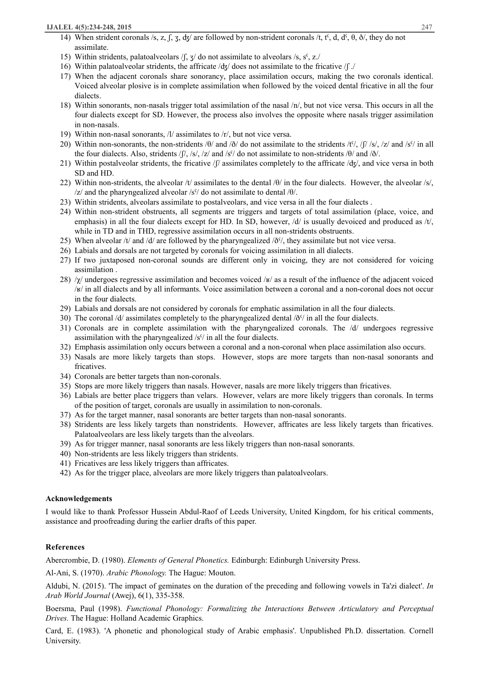- 14) When strident coronals /s, z, f, z, dy/ are followed by non-strident coronals /t, t<sup>c</sup>, d, d<sup>c</sup>,  $\theta$ ,  $\delta$ /, they do not assimilate.
- 15) Within stridents, palatoalveolars  $\int$ ,  $\frac{\pi}{3}$  do not assimilate to alveolars /s, s<sup>c</sup>, z./
- 16) Within palatoalveolar stridents, the affricate  $\langle \frac{dg}{d\alpha} \rangle$  does not assimilate to the fricative  $\int \frac{f}{d\alpha}$
- 17) When the adjacent coronals share sonorancy, place assimilation occurs, making the two coronals identical. Voiced alveolar plosive is in complete assimilation when followed by the voiced dental fricative in all the four dialects.
- 18) Within sonorants, non-nasals trigger total assimilation of the nasal /n/, but not vice versa. This occurs in all the four dialects except for SD. However, the process also involves the opposite where nasals trigger assimilation in non-nasals.
- 19) Within non-nasal sonorants, /l/ assimilates to /r/, but not vice versa.
- 20) Within non-sonorants, the non-stridents  $/0/$  and  $/0/$  do not assimilate to the stridents  $/15/$ ,  $/15/$   $/15/$ ,  $/17/$  and  $/15/$  in all the four dialects. Also, stridents /ʃ/, /s/, /z/ and /sˁ/ do not assimilate to non-stridents /θ/ and /ð/.
- 21) Within postalveolar stridents, the fricative /ʃ/ assimilates completely to the affricate /ʤ/, and vice versa in both SD and HD.
- 22) Within non-stridents, the alveolar /t/ assimilates to the dental /θ/ in the four dialects. However, the alveolar /s/,  $|z|$  and the pharyngealized alveolar  $\frac{1}{s'}$  do not assimilate to dental  $\frac{1}{\theta}$ .
- 23) Within stridents, alveolars assimilate to postalveolars, and vice versa in all the four dialects .
- 24) Within non-strident obstruents, all segments are triggers and targets of total assimilation (place, voice, and emphasis) in all the four dialects except for HD. In SD, however,  $\frac{d}{d}$  is usually devoiced and produced as  $/t$ , while in TD and in THD, regressive assimilation occurs in all non-stridents obstruents.
- 25) When alveolar /t/ and /d/ are followed by the pharyngealized / $\delta^{\circ}$ /, they assimilate but not vice versa.
- 26) Labials and dorsals are not targeted by coronals for voicing assimilation in all dialects.
- 27) If two juxtaposed non-coronal sounds are different only in voicing, they are not considered for voicing assimilation .
- 28)  $/\chi$  undergoes regressive assimilation and becomes voiced  $/\kappa$  as a result of the influence of the adjacent voiced /ʁ/ in all dialects and by all informants. Voice assimilation between a coronal and a non-coronal does not occur in the four dialects.
- 29) Labials and dorsals are not considered by coronals for emphatic assimilation in all the four dialects.
- 30) The coronal  $\frac{d}{dx}$  assimilates completely to the pharyngealized dental  $\frac{\delta}{\delta}$  in all the four dialects.
- 31) Coronals are in complete assimilation with the pharyngealized coronals. The /d/ undergoes regressive assimilation with the pharyngealized /sˁ/ in all the four dialects.
- 32) Emphasis assimilation only occurs between a coronal and a non-coronal when place assimilation also occurs.
- 33) Nasals are more likely targets than stops. However, stops are more targets than non-nasal sonorants and fricatives.
- 34) Coronals are better targets than non-coronals.
- 35) Stops are more likely triggers than nasals. However, nasals are more likely triggers than fricatives.
- 36) Labials are better place triggers than velars. However, velars are more likely triggers than coronals. In terms of the position of target, coronals are usually in assimilation to non-coronals.
- 37) As for the target manner, nasal sonorants are better targets than non-nasal sonorants.
- 38) Stridents are less likely targets than nonstridents. However, affricates are less likely targets than fricatives. Palatoalveolars are less likely targets than the alveolars.
- 39) As for trigger manner, nasal sonorants are less likely triggers than non-nasal sonorants.
- 40) Non-stridents are less likely triggers than stridents.
- 41) Fricatives are less likely triggers than affricates.
- 42) As for the trigger place, alveolars are more likely triggers than palatoalveolars.

# **Acknowledgements**

I would like to thank Professor Hussein Abdul-Raof of Leeds University, United Kingdom, for his critical comments, assistance and proofreading during the earlier drafts of this paper.

# **References**

Abercrombie, D. (1980). *Elements of General Phonetics.* Edinburgh: Edinburgh University Press.

Al-Ani, S. (1970). *Arabic Phonology.* The Hague: Mouton.

Aldubi, N. (2015). 'The impact of geminates on the duration of the preceding and following vowels in Ta'zi dialect'. *In Arab World Journal* (Awej), 6(1), 335-358.

Boersma, Paul (1998). *Functional Phonology: Formalizing the Interactions Between Articulatory and Perceptual Drives.* The Hague: Holland Academic Graphics.

Card, E. (1983). 'A phonetic and phonological study of Arabic emphasis'. Unpublished Ph.D. dissertation. Cornell University.